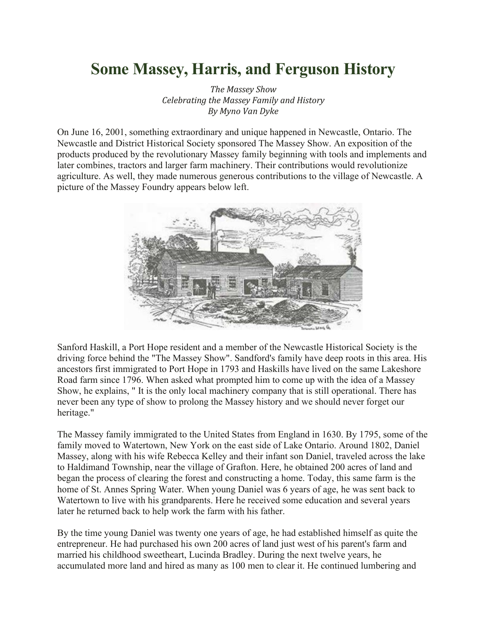## **Some Massey, Harris, and Ferguson History**

*The Massey Show Celebrating the Massey Family and History By Myno Van Dyke*

On June 16, 2001, something extraordinary and unique happened in Newcastle, Ontario. The Newcastle and District Historical Society sponsored The Massey Show. An exposition of the products produced by the revolutionary Massey family beginning with tools and implements and later combines, tractors and larger farm machinery. Their contributions would revolutionize agriculture. As well, they made numerous generous contributions to the village of Newcastle. A picture of the Massey Foundry appears below left.



Sanford Haskill, a Port Hope resident and a member of the Newcastle Historical Society is the driving force behind the "The Massey Show". Sandford's family have deep roots in this area. His ancestors first immigrated to Port Hope in 1793 and Haskills have lived on the same Lakeshore Road farm since 1796. When asked what prompted him to come up with the idea of a Massey Show, he explains, " It is the only local machinery company that is still operational. There has never been any type of show to prolong the Massey history and we should never forget our heritage."

The Massey family immigrated to the United States from England in 1630. By 1795, some of the family moved to Watertown, New York on the east side of Lake Ontario. Around 1802, Daniel Massey, along with his wife Rebecca Kelley and their infant son Daniel, traveled across the lake to Haldimand Township, near the village of Grafton. Here, he obtained 200 acres of land and began the process of clearing the forest and constructing a home. Today, this same farm is the home of St. Annes Spring Water. When young Daniel was 6 years of age, he was sent back to Watertown to live with his grandparents. Here he received some education and several years later he returned back to help work the farm with his father.

By the time young Daniel was twenty one years of age, he had established himself as quite the entrepreneur. He had purchased his own 200 acres of land just west of his parent's farm and married his childhood sweetheart, Lucinda Bradley. During the next twelve years, he accumulated more land and hired as many as 100 men to clear it. He continued lumbering and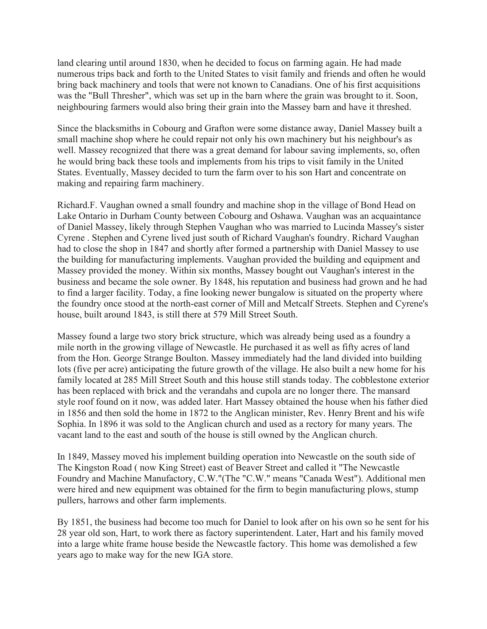land clearing until around 1830, when he decided to focus on farming again. He had made numerous trips back and forth to the United States to visit family and friends and often he would bring back machinery and tools that were not known to Canadians. One of his first acquisitions was the "Bull Thresher", which was set up in the barn where the grain was brought to it. Soon, neighbouring farmers would also bring their grain into the Massey barn and have it threshed.

Since the blacksmiths in Cobourg and Grafton were some distance away, Daniel Massey built a small machine shop where he could repair not only his own machinery but his neighbour's as well. Massey recognized that there was a great demand for labour saving implements, so, often he would bring back these tools and implements from his trips to visit family in the United States. Eventually, Massey decided to turn the farm over to his son Hart and concentrate on making and repairing farm machinery.

Richard.F. Vaughan owned a small foundry and machine shop in the village of Bond Head on Lake Ontario in Durham County between Cobourg and Oshawa. Vaughan was an acquaintance of Daniel Massey, likely through Stephen Vaughan who was married to Lucinda Massey's sister Cyrene . Stephen and Cyrene lived just south of Richard Vaughan's foundry. Richard Vaughan had to close the shop in 1847 and shortly after formed a partnership with Daniel Massey to use the building for manufacturing implements. Vaughan provided the building and equipment and Massey provided the money. Within six months, Massey bought out Vaughan's interest in the business and became the sole owner. By 1848, his reputation and business had grown and he had to find a larger facility. Today, a fine looking newer bungalow is situated on the property where the foundry once stood at the north-east corner of Mill and Metcalf Streets. Stephen and Cyrene's house, built around 1843, is still there at 579 Mill Street South.

Massey found a large two story brick structure, which was already being used as a foundry a mile north in the growing village of Newcastle. He purchased it as well as fifty acres of land from the Hon. George Strange Boulton. Massey immediately had the land divided into building lots (five per acre) anticipating the future growth of the village. He also built a new home for his family located at 285 Mill Street South and this house still stands today. The cobblestone exterior has been replaced with brick and the verandahs and cupola are no longer there. The mansard style roof found on it now, was added later. Hart Massey obtained the house when his father died in 1856 and then sold the home in 1872 to the Anglican minister, Rev. Henry Brent and his wife Sophia. In 1896 it was sold to the Anglican church and used as a rectory for many years. The vacant land to the east and south of the house is still owned by the Anglican church.

In 1849, Massey moved his implement building operation into Newcastle on the south side of The Kingston Road ( now King Street) east of Beaver Street and called it "The Newcastle Foundry and Machine Manufactory, C.W."(The "C.W." means "Canada West"). Additional men were hired and new equipment was obtained for the firm to begin manufacturing plows, stump pullers, harrows and other farm implements.

By 1851, the business had become too much for Daniel to look after on his own so he sent for his 28 year old son, Hart, to work there as factory superintendent. Later, Hart and his family moved into a large white frame house beside the Newcastle factory. This home was demolished a few years ago to make way for the new IGA store.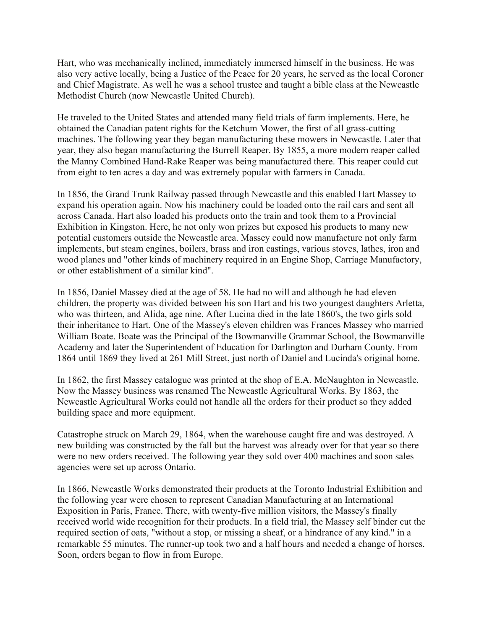Hart, who was mechanically inclined, immediately immersed himself in the business. He was also very active locally, being a Justice of the Peace for 20 years, he served as the local Coroner and Chief Magistrate. As well he was a school trustee and taught a bible class at the Newcastle Methodist Church (now Newcastle United Church).

He traveled to the United States and attended many field trials of farm implements. Here, he obtained the Canadian patent rights for the Ketchum Mower, the first of all grass-cutting machines. The following year they began manufacturing these mowers in Newcastle. Later that year, they also began manufacturing the Burrell Reaper. By 1855, a more modern reaper called the Manny Combined Hand-Rake Reaper was being manufactured there. This reaper could cut from eight to ten acres a day and was extremely popular with farmers in Canada.

In 1856, the Grand Trunk Railway passed through Newcastle and this enabled Hart Massey to expand his operation again. Now his machinery could be loaded onto the rail cars and sent all across Canada. Hart also loaded his products onto the train and took them to a Provincial Exhibition in Kingston. Here, he not only won prizes but exposed his products to many new potential customers outside the Newcastle area. Massey could now manufacture not only farm implements, but steam engines, boilers, brass and iron castings, various stoves, lathes, iron and wood planes and "other kinds of machinery required in an Engine Shop, Carriage Manufactory, or other establishment of a similar kind".

In 1856, Daniel Massey died at the age of 58. He had no will and although he had eleven children, the property was divided between his son Hart and his two youngest daughters Arletta, who was thirteen, and Alida, age nine. After Lucina died in the late 1860's, the two girls sold their inheritance to Hart. One of the Massey's eleven children was Frances Massey who married William Boate. Boate was the Principal of the Bowmanville Grammar School, the Bowmanville Academy and later the Superintendent of Education for Darlington and Durham County. From 1864 until 1869 they lived at 261 Mill Street, just north of Daniel and Lucinda's original home.

In 1862, the first Massey catalogue was printed at the shop of E.A. McNaughton in Newcastle. Now the Massey business was renamed The Newcastle Agricultural Works. By 1863, the Newcastle Agricultural Works could not handle all the orders for their product so they added building space and more equipment.

Catastrophe struck on March 29, 1864, when the warehouse caught fire and was destroyed. A new building was constructed by the fall but the harvest was already over for that year so there were no new orders received. The following year they sold over 400 machines and soon sales agencies were set up across Ontario.

In 1866, Newcastle Works demonstrated their products at the Toronto Industrial Exhibition and the following year were chosen to represent Canadian Manufacturing at an International Exposition in Paris, France. There, with twenty-five million visitors, the Massey's finally received world wide recognition for their products. In a field trial, the Massey self binder cut the required section of oats, "without a stop, or missing a sheaf, or a hindrance of any kind." in a remarkable 55 minutes. The runner-up took two and a half hours and needed a change of horses. Soon, orders began to flow in from Europe.